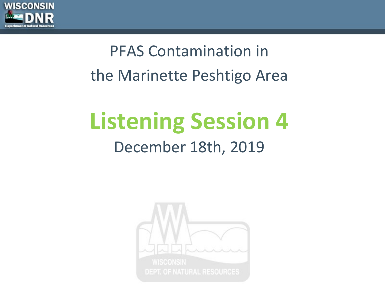

## PFAS Contamination in the Marinette Peshtigo Area

## **Listening Session 4** December 18th, 2019

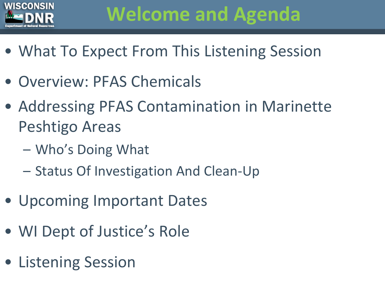

## **Welcome and Agenda**

- What To Expect From This Listening Session
- Overview: PFAS Chemicals
- Addressing PFAS Contamination in Marinette Peshtigo Areas
	- Who's Doing What
	- Status Of Investigation And Clean-Up
- Upcoming Important Dates
- WI Dept of Justice's Role
- Listening Session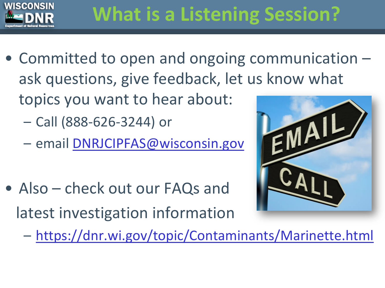

- Committed to open and ongoing communication ask questions, give feedback, let us know what topics you want to hear about:
	- Call (888-626-3244) or
	- email [DNRJCIPFAS@wisconsin.gov](mailto:DNRJCIPFAS@wisconsin.gov)
- Also check out our FAQs and latest investigation information



– <https://dnr.wi.gov/topic/Contaminants/Marinette.html>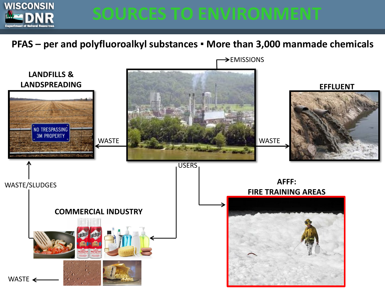

#### **PFAS – per and polyfluoroalkyl substances ▪ More than 3,000 manmade chemicals**

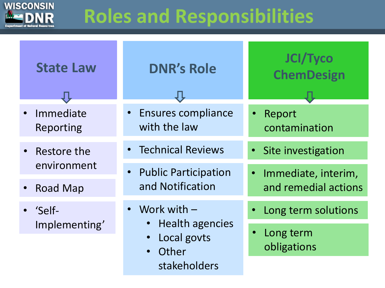

## **Roles and Responsibilities**

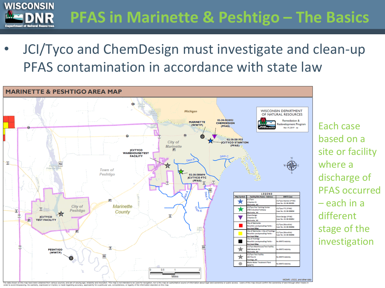**WISCONSIN PFAS in Marinette & Peshtigo – The Basics**  at of Natural Resource

based on a

where a

site or facility

discharge of

– each in a

stage of the

investigation

different

PFAS occurred

• JCI/Tyco and ChemDesign must investigate and clean-up PFAS contamination in accordance with state law

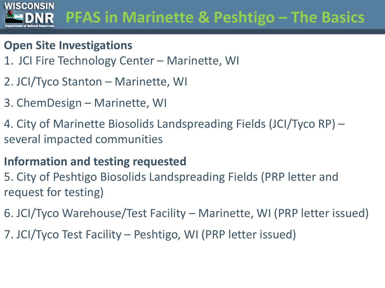#### **WISCONSIN PFAS in Marinette & Peshtigo – The Basics**  R

#### **Open Site Investigations**

- 1. JCI Fire Technology Center Marinette, WI
- 2. JCI/Tyco Stanton Marinette, WI
- 3. ChemDesign Marinette, WI
- 4. City of Marinette Biosolids Landspreading Fields (JCI/Tyco RP) several impacted communities

#### **Information and testing requested**

- 5. City of Peshtigo Biosolids Landspreading Fields (PRP letter and request for testing)
- 6. JCI/Tyco Warehouse/Test Facility Marinette, WI (PRP letter issued)
- 7. JCI/Tyco Test Facility Peshtigo, WI (PRP letter issued)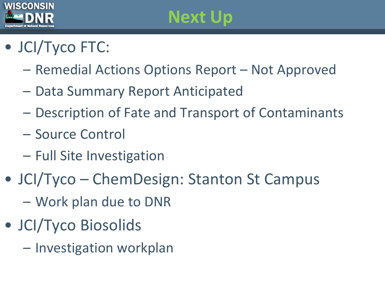

## **Next Up**

### • JCI/Tyco FTC:

- Remedial Actions Options Report Not Approved
- Data Summary Report Anticipated
- Description of Fate and Transport of Contaminants
- Source Control
- Full Site Investigation
- JCI/Tyco ChemDesign: Stanton St Campus
	- Work plan due to DNR
- JCI/Tyco Biosolids
	- Investigation workplan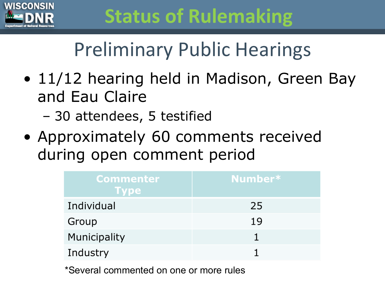

## **Status of Rulemaking**

## Preliminary Public Hearings

- 11/12 hearing held in Madison, Green Bay and Eau Claire
	- 30 attendees, 5 testified
- Approximately 60 comments received during open comment period

| <b>Commenter</b><br><b>Type</b> | Number* |
|---------------------------------|---------|
| Individual                      | 25      |
| Group                           | 19      |
| Municipality                    |         |
| Industry                        |         |

\*Several commented on one or more rules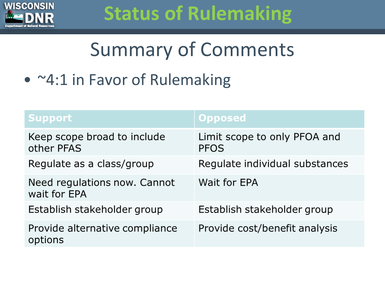

## **Status of Rulemaking**

## Summary of Comments

• ~4:1 in Favor of Rulemaking

| Support                                      | <b>Opposed</b>                              |
|----------------------------------------------|---------------------------------------------|
| Keep scope broad to include<br>other PFAS    | Limit scope to only PFOA and<br><b>PFOS</b> |
| Regulate as a class/group                    | Regulate individual substances              |
| Need regulations now. Cannot<br>wait for EPA | Wait for EPA                                |
| Establish stakeholder group                  | Establish stakeholder group                 |
| Provide alternative compliance<br>options    | Provide cost/benefit analysis               |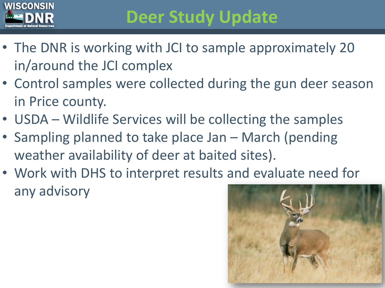

## **Deer Study Update**

- The DNR is working with JCI to sample approximately 20 in/around the JCI complex
- Control samples were collected during the gun deer season in Price county.
- USDA Wildlife Services will be collecting the samples
- Sampling planned to take place Jan March (pending weather availability of deer at baited sites).
- Work with DHS to interpret results and evaluate need for any advisory

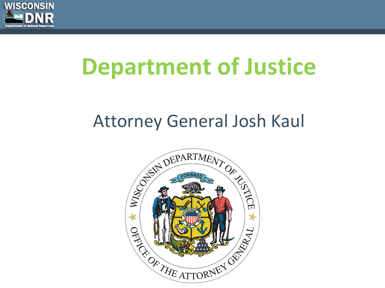

# **Department of Justice**

### Attorney General Josh Kaul